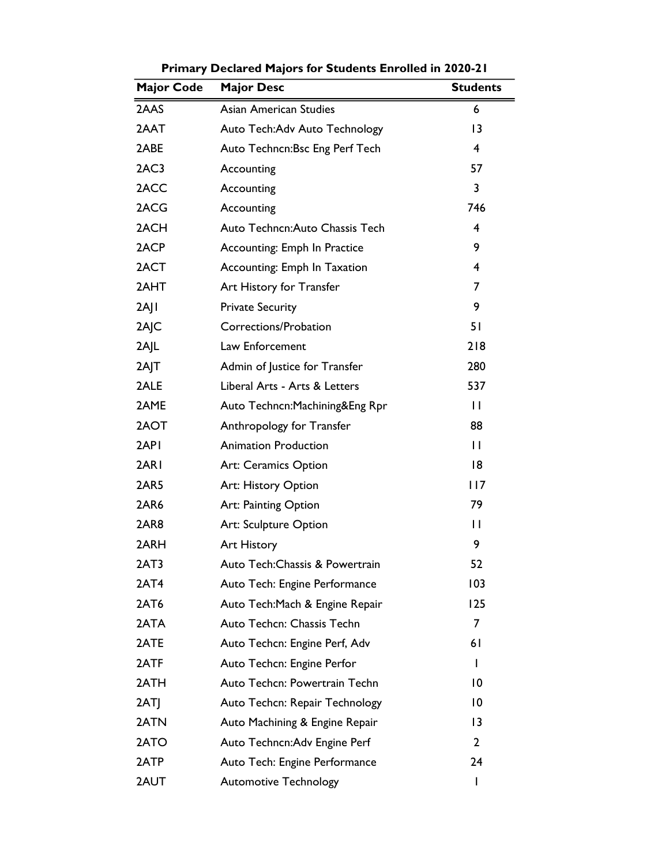| <b>Major Code</b> | <b>Major Desc</b>               | <b>Students</b> |
|-------------------|---------------------------------|-----------------|
| 2AAS              | <b>Asian American Studies</b>   | 6               |
| 2AAT              | Auto Tech: Adv Auto Technology  | 13              |
| 2ABE              | Auto Techncn: Bsc Eng Perf Tech | 4               |
| 2AC3              | Accounting                      | 57              |
| 2ACC              | Accounting                      | 3               |
| 2ACG              | Accounting                      | 746             |
| 2ACH              | Auto Techncn: Auto Chassis Tech | 4               |
| 2ACP              | Accounting: Emph In Practice    | 9               |
| 2ACT              | Accounting: Emph In Taxation    | $\overline{4}$  |
| 2AHT              | Art History for Transfer        | $\overline{7}$  |
| $2A$   $\mid$     | <b>Private Security</b>         | 9               |
| 2AJC              | Corrections/Probation           | 51              |
| 2A L              | Law Enforcement                 | 218             |
| $2A$  T           | Admin of Justice for Transfer   | 280             |
| 2ALE              | Liberal Arts - Arts & Letters   | 537             |
| 2AME              | Auto Techncn: Machining&Eng Rpr | $\mathbf{H}$    |
| 2AOT              | Anthropology for Transfer       | 88              |
| 2API              | <b>Animation Production</b>     | $\mathbf{H}$    |
| 2ARI              | Art: Ceramics Option            | 8               |
| 2AR5              | Art: History Option             | 117             |
| 2AR6              | Art: Painting Option            | 79              |
| 2AR8              | Art: Sculpture Option           | П               |
| 2ARH              | Art History                     | 9               |
| 2AT3              | Auto Tech: Chassis & Powertrain | 52              |
| 2AT4              | Auto Tech: Engine Performance   | 103             |
| 2AT6              | Auto Tech: Mach & Engine Repair | 125             |
| 2ATA              | Auto Techcn: Chassis Techn      | 7               |
| 2ATE              | Auto Techcn: Engine Perf, Adv   | 61              |
| 2ATF              | Auto Techcn: Engine Perfor      | I               |
| 2ATH              | Auto Techcn: Powertrain Techn   | 10              |
| 2ATI              | Auto Techcn: Repair Technology  | 10              |
| 2ATN              | Auto Machining & Engine Repair  | $\overline{13}$ |
| 2ATO              | Auto Techncn: Adv Engine Perf   | 2               |
| 2ATP              | Auto Tech: Engine Performance   | 24              |
| 2AUT              | <b>Automotive Technology</b>    | I               |

Primary Declared Majors for Students Enrolled in 2020-21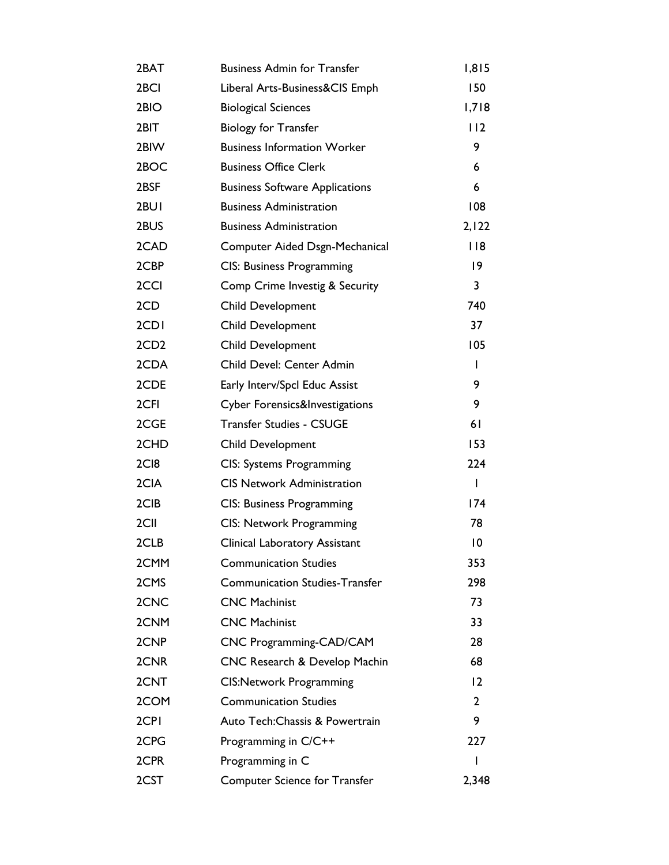| 2BAT             | <b>Business Admin for Transfer</b>    | 1,815           |
|------------------|---------------------------------------|-----------------|
| 2BCI             | Liberal Arts-Business&CIS Emph        | 150             |
| 2BIO             | <b>Biological Sciences</b>            | 1,718           |
| 2BIT             | <b>Biology for Transfer</b>           | 112             |
| 2BIW             | <b>Business Information Worker</b>    | 9.              |
| 2BOC             | <b>Business Office Clerk</b>          | 6               |
| 2BSF             | <b>Business Software Applications</b> | 6               |
| 2BUI             | <b>Business Administration</b>        | 108             |
| 2BUS             | <b>Business Administration</b>        | 2,122           |
| 2CAD             | Computer Aided Dsgn-Mechanical        | 118             |
| 2CBP             | <b>CIS: Business Programming</b>      | $\overline{19}$ |
| 2CCI             | Comp Crime Investig & Security        | 3               |
| 2CD              | Child Development                     | 740             |
| 2CD <sub>I</sub> | Child Development                     | 37              |
| 2CD <sub>2</sub> | Child Development                     | 105             |
| 2CDA             | Child Devel: Center Admin             | L               |
| 2CDE             | Early Interv/Spcl Educ Assist         | 9               |
| 2CFI             | Cyber Forensics&Investigations        | 9               |
| 2CGE             | <b>Transfer Studies - CSUGE</b>       | 61              |
| 2CHD             | Child Development                     | 153             |
| 2CI8             | CIS: Systems Programming              | 224             |
| 2CIA             | <b>CIS Network Administration</b>     | $\mathbf{I}$    |
| 2CIB             | <b>CIS: Business Programming</b>      | 174             |
| 2CII             | <b>CIS: Network Programming</b>       | 78              |
| 2CLB             | <b>Clinical Laboratory Assistant</b>  | $\overline{10}$ |
| 2CMM             | <b>Communication Studies</b>          | 353             |
| 2CMS             | <b>Communication Studies-Transfer</b> | 298             |
| 2CNC             | <b>CNC Machinist</b>                  | 73              |
| 2CNM             | <b>CNC Machinist</b>                  | 33              |
| 2CNP             | CNC Programming-CAD/CAM               | 28              |
| 2CNR             | CNC Research & Develop Machin         | 68              |
| 2CNT             | <b>CIS:Network Programming</b>        | 12              |
| 2COM             | <b>Communication Studies</b>          | $\overline{2}$  |
| 2CPI             | Auto Tech: Chassis & Powertrain       | 9               |
| 2CPG             | Programming in C/C++                  | 227             |
| 2CPR             | Programming in C                      | I               |
| 2CST             | <b>Computer Science for Transfer</b>  | 2,348           |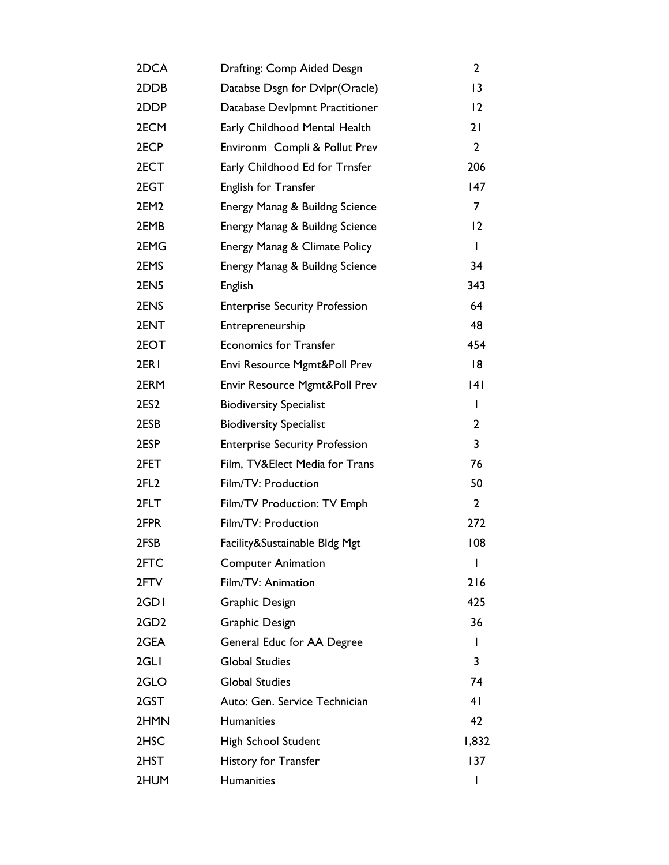| 2DCA             | Drafting: Comp Aided Desgn               | $\mathbf{2}$   |
|------------------|------------------------------------------|----------------|
| 2DDB             | Databse Dsgn for Dvlpr(Oracle)           | 3              |
| 2DDP             | Database Devlpmnt Practitioner           | 12             |
| 2ECM             | Early Childhood Mental Health            | 21             |
| 2ECP             | Environm Compli & Pollut Prev            | $\overline{2}$ |
| 2ECT             | Early Childhood Ed for Trnsfer           | 206            |
| 2EGT             | English for Transfer                     | 147            |
| 2EM <sub>2</sub> | Energy Manag & Buildng Science           | $\overline{7}$ |
| 2EMB             | Energy Manag & Buildng Science           | 12             |
| 2EMG             | Energy Manag & Climate Policy            | L              |
| 2EMS             | Energy Manag & Buildng Science           | 34             |
| 2EN5             | English                                  | 343            |
| 2ENS             | <b>Enterprise Security Profession</b>    | 64             |
| 2ENT             | Entrepreneurship                         | 48             |
| 2EOT             | <b>Economics for Transfer</b>            | 454            |
| 2ER <sub>I</sub> | Envi Resource Mgmt&Poll Prev             | 18             |
| 2ERM             | <b>Envir Resource Mgmt&amp;Poll Prev</b> | 4              |
| 2ES <sub>2</sub> | <b>Biodiversity Specialist</b>           | L              |
| 2ESB             | <b>Biodiversity Specialist</b>           | $\mathbf{2}$   |
| 2ESP             | <b>Enterprise Security Profession</b>    | 3              |
| 2FET             | Film, TV&Elect Media for Trans           | 76             |
| 2FL <sub>2</sub> | Film/TV: Production                      | 50             |
| 2FLT             | Film/TV Production: TV Emph              | $\overline{2}$ |
| 2FPR             | Film/TV: Production                      | 272            |
| 2FSB             | Facility&Sustainable Bldg Mgt            | 108            |
| 2FTC             | <b>Computer Animation</b>                | I              |
| 2FTV             | Film/TV: Animation                       | 216            |
| 2GDI             | <b>Graphic Design</b>                    | 425            |
| 2GD <sub>2</sub> | <b>Graphic Design</b>                    | 36             |
| 2GEA             | General Educ for AA Degree               | L              |
| 2GLI             | <b>Global Studies</b>                    | 3              |
| 2GLO             | <b>Global Studies</b>                    | 74             |
| 2GST             | Auto: Gen. Service Technician            | 41             |
| 2HMN             | <b>Humanities</b>                        | 42             |
| 2HSC             | High School Student                      | 1,832          |
| 2HST             | History for Transfer                     | 137            |
| 2HUM             | <b>Humanities</b>                        |                |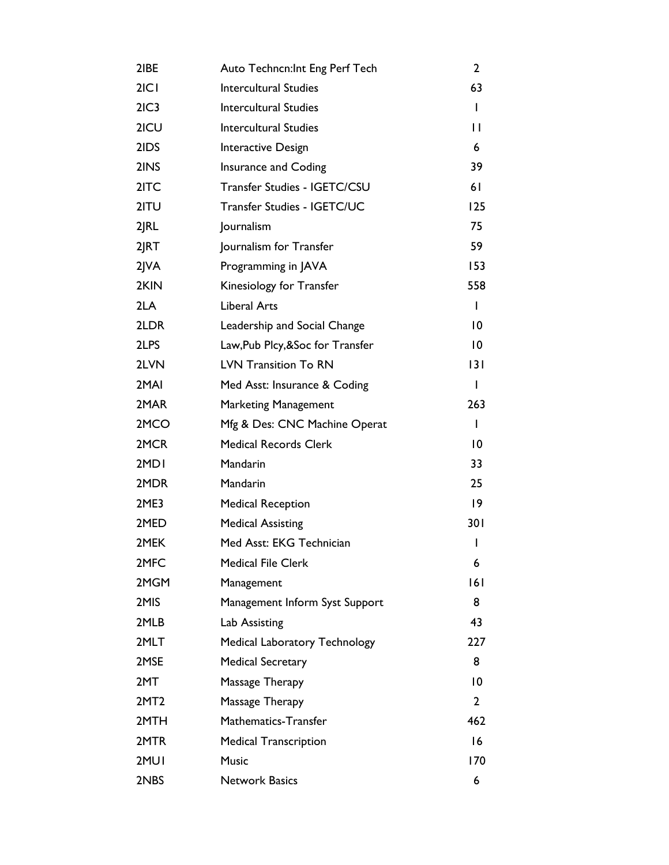| 2IBE                          | Auto Techncn: Int Eng Perf Tech      | $\mathbf{2}$    |
|-------------------------------|--------------------------------------|-----------------|
| 2 C                           | <b>Intercultural Studies</b>         | 63              |
| 2IC3                          | <b>Intercultural Studies</b>         | L               |
| 2ICU                          | <b>Intercultural Studies</b>         | П               |
| 2IDS                          | Interactive Design                   | 6               |
| 2INS                          | Insurance and Coding                 | 39              |
| 2ITC                          | Transfer Studies - IGETC/CSU         | 61              |
| 2ITU                          | Transfer Studies - IGETC/UC          | 125             |
| $2$ $R$                       | Journalism                           | 75              |
| 2JRT                          | Journalism for Transfer              | 59              |
| $2$ $\mathsf{V}$ $\mathsf{A}$ | Programming in JAVA                  | 153             |
| 2KIN                          | Kinesiology for Transfer             | 558             |
| 2LA                           | <b>Liberal Arts</b>                  | T               |
| 2LDR                          | Leadership and Social Change         | 10              |
| 2LPS                          | Law, Pub Plcy, & Soc for Transfer    | $\overline{10}$ |
| 2LVN                          | <b>LVN Transition To RN</b>          | 3               |
| 2MAI                          | Med Asst: Insurance & Coding         | T               |
| 2MAR                          | <b>Marketing Management</b>          | 263             |
| 2MCO                          | Mfg & Des: CNC Machine Operat        | $\mathbf{I}$    |
| 2MCR                          | <b>Medical Records Clerk</b>         | 10              |
| 2MD <sub>I</sub>              | Mandarin                             | 33              |
| 2MDR                          | Mandarin                             | 25              |
| 2ME3                          | <b>Medical Reception</b>             | $ 9\rangle$     |
| 2MED                          | <b>Medical Assisting</b>             | 301             |
| 2MEK                          | Med Asst: EKG Technician             | I               |
| 2MFC                          | <b>Medical File Clerk</b>            | 6               |
| 2MGM                          | Management                           | 6               |
| 2MIS                          | Management Inform Syst Support       | 8               |
| 2MLB                          | Lab Assisting                        | 43              |
| 2MLT                          | <b>Medical Laboratory Technology</b> | 227             |
| 2MSE                          | <b>Medical Secretary</b>             | 8               |
| 2MT                           | Massage Therapy                      | $\overline{0}$  |
| 2MT <sub>2</sub>              | Massage Therapy                      | $\mathbf{2}$    |
| 2MTH                          | Mathematics-Transfer                 | 462             |
| 2MTR                          | <b>Medical Transcription</b>         | 16              |
| 2MUI                          | <b>Music</b>                         | 170             |
| 2NBS                          | <b>Network Basics</b>                | 6               |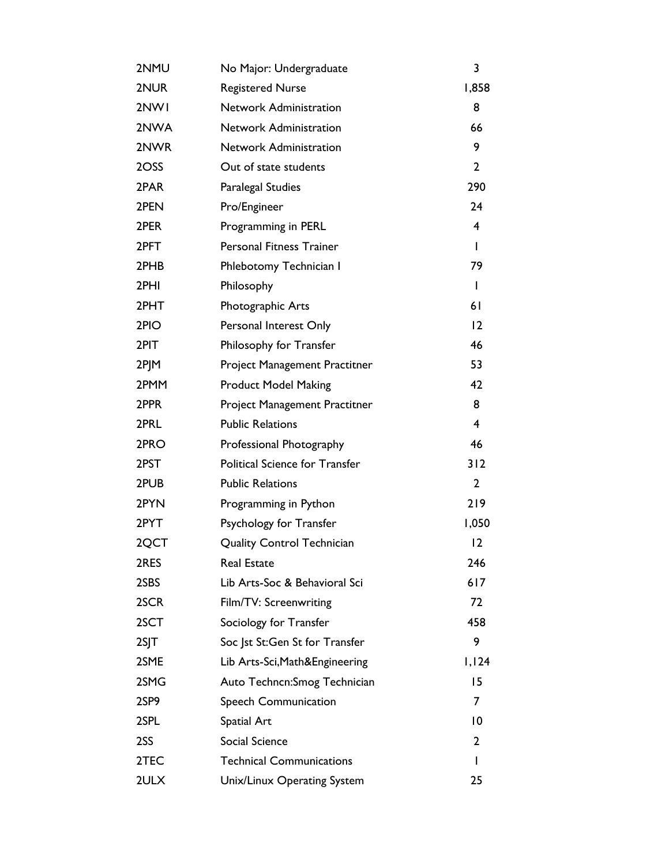| 2NMU            | No Major: Undergraduate               | 3              |
|-----------------|---------------------------------------|----------------|
| 2NUR            | <b>Registered Nurse</b>               | 1,858          |
| 2NW1            | <b>Network Administration</b>         | 8              |
| 2NWA            | Network Administration                | 66             |
| 2NWR            | <b>Network Administration</b>         | 9              |
| 2OSS            | Out of state students                 | $\overline{2}$ |
| 2PAR            | <b>Paralegal Studies</b>              | 290            |
| 2PEN            | Pro/Engineer                          | 24             |
| 2PER            | Programming in PERL                   | 4              |
| 2PFT            | <b>Personal Fitness Trainer</b>       | $\mathbf{I}$   |
| 2PHB            | Phlebotomy Technician I               | 79             |
| 2PHI            | Philosophy                            | T              |
| 2PHT            | Photographic Arts                     | 61             |
| 2PIO            | Personal Interest Only                | 12             |
| 2PIT            | Philosophy for Transfer               | 46             |
| 2PJM            | Project Management Practitner         | 53             |
| 2PMM            | <b>Product Model Making</b>           | 42             |
| 2PPR            | Project Management Practitner         | 8              |
| 2PRL            | <b>Public Relations</b>               | 4              |
| 2PRO            | Professional Photography              | 46             |
| 2PST            | <b>Political Science for Transfer</b> | 312            |
| 2PUB            | <b>Public Relations</b>               | $\overline{2}$ |
| 2PYN            | Programming in Python                 | 219            |
| 2PYT            | Psychology for Transfer               | 1,050          |
| 2QCT            | <b>Quality Control Technician</b>     | 12             |
| 2RES            | <b>Real Estate</b>                    | 246            |
| 2SBS            | Lib Arts-Soc & Behavioral Sci         | 617            |
| 2SCR            | Film/TV: Screenwriting                | 72             |
| 2SCT            | Sociology for Transfer                | 458            |
| 2S <sub>1</sub> | Soc  st St:Gen St for Transfer        | 9              |
| 2SME            | Lib Arts-Sci, Math&Engineering        | 1,124          |
| 2SMG            | Auto Techncn: Smog Technician         | 15             |
| 2SP9            | <b>Speech Communication</b>           | 7              |
| 2SPL            | Spatial Art                           | 10             |
| 2SS             | Social Science                        | $\mathbf{2}$   |
| 2TEC            | <b>Technical Communications</b>       | I              |
| 2ULX            | Unix/Linux Operating System           | 25             |